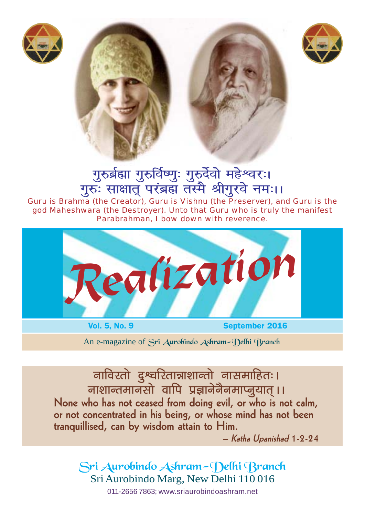





Guru is Brahma (the Creator), Guru is Vishnu (the Preserver), and Guru is the god Maheshwara (the Destroyer). Unto that Guru who is truly the manifest Parabrahman, I bow down with reverence.



An e-magazine of Sri Aurobindo Ashram-Delhi Branch

्नाविरतो दुश्चरितान्नाशान्तो नासमाहितः।<br>नाशान्तमानसो वापि प्रज्ञानेनैनमाप्नूयात्।। None who has not ceased from doing evil, or who is not calm, **or not concentrated in his being, or whose mind has not been tranquillised, can by wisdom attain to Him.**

**– Katha Upanishad 1-2-24**

Sri Aurobindo Ashram-Delhi Branch Sri Aurobindo Marg, New Delhi 110 016

011-2656 7863; www.sriaurobindoashram.net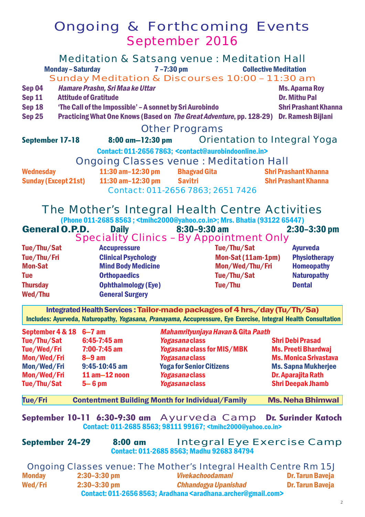# Ongoing & Forthcoming Events September 2016

| <b>Monday - Saturday</b><br>Sep 04<br><b>Sep 11</b><br><b>Sep 25</b>                                                                                                                                                                                                                                     | Meditation & Satsang venue: Meditation Hall<br>Sunday Meditation & Discourses 10:00 - 11:30 am<br>Hamare Prashn, Sri Maa ke Uttar<br><b>Attitude of Gratitude</b><br>Sep 18 The Call of the Impossible' - A sonnet by Sri Aurobindo<br>Practicing What One Knows (Based on <i>The Great Adventure</i> , pp. 128-29) Dr. Ramesh Bijlani | $7 - 7:30$ pm<br><b>Other Programs</b>                                                                                                                        | <b>Collective Meditation</b>       | <b>Ms. Aparna Roy</b><br><b>Dr. Mithu Pal</b><br><b>Shri Prashant Khanna</b>                                                                                          |
|----------------------------------------------------------------------------------------------------------------------------------------------------------------------------------------------------------------------------------------------------------------------------------------------------------|----------------------------------------------------------------------------------------------------------------------------------------------------------------------------------------------------------------------------------------------------------------------------------------------------------------------------------------|---------------------------------------------------------------------------------------------------------------------------------------------------------------|------------------------------------|-----------------------------------------------------------------------------------------------------------------------------------------------------------------------|
| <b>September 17-18</b>                                                                                                                                                                                                                                                                                   |                                                                                                                                                                                                                                                                                                                                        |                                                                                                                                                               |                                    | 8:00 am-12:30 pm Crientation to Integral Yoga                                                                                                                         |
| <b>Wednesday</b>                                                                                                                                                                                                                                                                                         | Contact: 011-2656 7863; <contact@aurobindoonline.in><br/><b>Ongoing Classes venue: Meditation Hall</b><br/>11:30 am-12:30 pm Bhagvad Gita<br/>Sunday (Except 21st) 11:30 am-12:30 pm Savitri</contact@aurobindoonline.in>                                                                                                              | Contact: 011-2656 7863; 2651 7426                                                                                                                             |                                    | <b>Shri Prashant Khanna</b><br><b>Shri Prashant Khanna</b>                                                                                                            |
| The Mother's Integral Health Centre Activities<br>(Phone 011-2685 8563; <tmihc2000@yahoo.co.in>; Mrs. Bhatia (93122 65447)<br/><math>8:30 - 9:30</math> am<br/><b>General O.P.D.</b><br/><b>Daily</b><br/><math>2:30-3:30</math> pm<br/>Speciality Clinics - By Appointment Only</tmihc2000@yahoo.co.in> |                                                                                                                                                                                                                                                                                                                                        |                                                                                                                                                               |                                    |                                                                                                                                                                       |
| Tue/Thu/Sat<br>Tue/Thu/Fri                                                                                                                                                                                                                                                                               | <b>Accupressure</b><br><b>Clinical Psychology</b>                                                                                                                                                                                                                                                                                      |                                                                                                                                                               | Tue/Thu/Sat<br>Mon-Sat (11am-1pm)  | <b>Ayurveda</b><br><b>Physiotherapy</b>                                                                                                                               |
| <b>Mon-Sat</b>                                                                                                                                                                                                                                                                                           | <b>Mind Body Medicine</b>                                                                                                                                                                                                                                                                                                              |                                                                                                                                                               | Mon/Wed/Thu/Fri                    | <b>Homeopathy</b>                                                                                                                                                     |
| <b>Tue</b><br><b>Thursday</b>                                                                                                                                                                                                                                                                            | <b>Orthopaedics</b><br><b>Ophthalmology (Eye)</b>                                                                                                                                                                                                                                                                                      |                                                                                                                                                               | Tue/Thu/Sat<br>Tue/Thu             | <b>Naturopathy</b><br><b>Dental</b>                                                                                                                                   |
| Wed/Thu                                                                                                                                                                                                                                                                                                  | <b>General Surgery</b>                                                                                                                                                                                                                                                                                                                 |                                                                                                                                                               |                                    |                                                                                                                                                                       |
| Integrated Health Services: Tailor-made packages of 4 hrs./day (Tu/Th/Sa)<br>Includes: Ayurveda, Naturopathy, Yogasana, Pranayama, Accupressure, Eye Exercise, Integral Health Consultation                                                                                                              |                                                                                                                                                                                                                                                                                                                                        |                                                                                                                                                               |                                    |                                                                                                                                                                       |
| September 4 & 18 6-7 am<br>Tue/Thu/Sat<br>Tue/Wed/Fri<br>Mon/Wed/Fri<br>Mon/Wed/Fri<br>Mon/Wed/Fri<br>Tue/Thu/Sat                                                                                                                                                                                        | $6:45-7:45$ am<br>7:00-7:45 am<br>$8 - 9$ am<br>$9:45-10:45$ am<br>11 am-12 noon<br>$5 - 6$ pm                                                                                                                                                                                                                                         | <b>Yogasanaclass</b><br>Yogasana class for MIS/MBK<br><b>Yogasanaclass</b><br><b>Yoga for Senior Citizens</b><br><b>Yogasanaclass</b><br><b>Yogasanaclass</b> | Mahamrityunjaya Havan & Gita Paath | <b>Shri Debi Prasad</b><br><b>Ms. Preeti Bhardwaj</b><br><b>Ms. Monica Srivastava</b><br><b>Ms. Sapna Mukherjee</b><br>Dr. Aparajita Rath<br><b>Shri Deepak Jhamb</b> |
| Tue/Fri                                                                                                                                                                                                                                                                                                  | <b>Contentment Building Month for Individual/Family</b>                                                                                                                                                                                                                                                                                |                                                                                                                                                               |                                    | <b>Ms. Neha Bhimwal</b>                                                                                                                                               |
| September 10-11 6:30-9:30 am Ayurveda Camp Dr. Surinder Katoch<br>Contact: 011-2685 8563; 98111 99167; <tmihc2000@yahoo.co.in></tmihc2000@yahoo.co.in>                                                                                                                                                   |                                                                                                                                                                                                                                                                                                                                        |                                                                                                                                                               |                                    |                                                                                                                                                                       |
| <b>September 24-29</b><br>Integral Eye Exercise Camp<br>$8:00$ am<br>Contact: 011-2685 8563; Madhu 92683 84794                                                                                                                                                                                           |                                                                                                                                                                                                                                                                                                                                        |                                                                                                                                                               |                                    |                                                                                                                                                                       |
| <b>Monday</b>                                                                                                                                                                                                                                                                                            | Ongoing Classes venue: The Mother's Integral Health Centre Rm 15J<br>2:30-3:30 pm                                                                                                                                                                                                                                                      | <b>Vivekachoodamani</b>                                                                                                                                       |                                    | <b>Dr. Tarun Baveja</b>                                                                                                                                               |
| Wed/Fri                                                                                                                                                                                                                                                                                                  | 2:30-3:30 pm                                                                                                                                                                                                                                                                                                                           |                                                                                                                                                               | Chhandogya Upanishad               | <b>Dr. Tarun Baveja</b>                                                                                                                                               |
|                                                                                                                                                                                                                                                                                                          | Contact: 011-2656 8563; Aradhana <aradhana.archer@gmail.com></aradhana.archer@gmail.com>                                                                                                                                                                                                                                               |                                                                                                                                                               |                                    |                                                                                                                                                                       |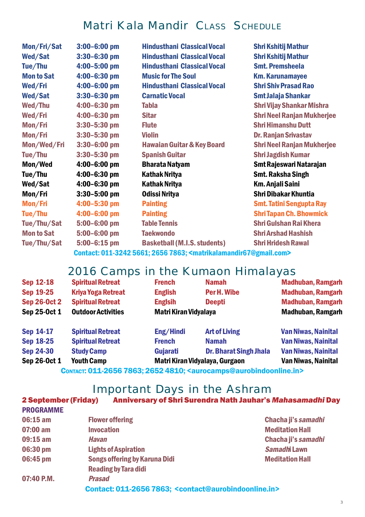# **Matri Kala Mandir CLASS SCHEDULE**

| Mon/Fri/Sat       | $3:00 - 6:00$ pm | <b>Hindusthani Classical Vocal</b>    | <b>Shri Kshitij Mathur</b>        |
|-------------------|------------------|---------------------------------------|-----------------------------------|
| Wed/Sat           | $3:30-6:30$ pm   | <b>Hindusthani Classical Vocal</b>    | <b>Shri Kshitij Mathur</b>        |
| Tue/Thu           | $4:00 - 5:00$ pm | <b>Hindusthani Classical Vocal</b>    | <b>Smt. Premsheela</b>            |
| <b>Mon to Sat</b> | 4:00-6:30 pm     | <b>Music for The Soul</b>             | <b>Km. Karunamayee</b>            |
| Wed/Fri           | 4:00-6:00 pm     | <b>Hindusthani Classical Vocal</b>    | <b>Shri Shiv Prasad Rao</b>       |
| Wed/Sat           | $3:30-6:30$ pm   | <b>Carnatic Vocal</b>                 | <b>Smt Jalaja Shankar</b>         |
| Wed/Thu           | $4:00 - 6:30$ pm | <b>Tabla</b>                          | <b>Shri Vijay Shankar Mishra</b>  |
| Wed/Fri           | 4:00-6:30 pm     | <b>Sitar</b>                          | <b>Shri Neel Ranjan Mukherjee</b> |
| Mon/Fri           | $3:30 - 5:30$ pm | <b>Flute</b>                          | <b>Shri Himanshu Dutt</b>         |
| Mon/Fri           | $3:30 - 5:30$ pm | <b>Violin</b>                         | <b>Dr. Ranjan Srivastav</b>       |
| Mon/Wed/Fri       | $3:30-6:00$ pm   | <b>Hawaian Guitar &amp; Key Board</b> | <b>Shri Neel Ranjan Mukherjee</b> |
| Tue/Thu           | $3:30 - 5:30$ pm | <b>Spanish Guitar</b>                 | <b>Shri Jagdish Kumar</b>         |
| Mon/Wed           | $4:00 - 6:00$ pm | <b>Bharata Natyam</b>                 | Smt Rajeswari Natarajan           |
| Tue/Thu           | $4:00 - 6:30$ pm | <b>Kathak Nritya</b>                  | <b>Smt. Raksha Singh</b>          |
| Wed/Sat           | $4:00 - 6:30$ pm | <b>Kathak Nritya</b>                  | <b>Km. Anjali Saini</b>           |
| Mon/Fri           | $3:30 - 5:00$ pm | Odissi Nritya                         | <b>Shri Dibakar Khuntia</b>       |
| Mon/Fri           | 4:00-5:30 pm     | <b>Painting</b>                       | <b>Smt. Tatini Sengupta Ray</b>   |
| Tue/Thu           | 4:00-6:00 pm     | <b>Painting</b>                       | <b>Shri Tapan Ch. Bhowmick</b>    |
| Tue/Thu/Sat       | $5:00 - 6:00$ pm | <b>Table Tennis</b>                   | <b>Shri Gulshan Rai Khera</b>     |
| <b>Mon to Sat</b> | $5:00 - 6:00$ pm | <b>Taekwondo</b>                      | <b>Shri Arshad Hashish</b>        |
| Tue/Thu/Sat       | $5:00 - 6:15$ pm | <b>Basketball (M.I.S. students)</b>   | <b>Shri Hridesh Rawal</b>         |

Contact: 011-3242 5661; 2656 7863; <matrikalamandir67@gmail.com>

## 2016 Camps in the Kumaon Himalayas

| <b>Sep 12-18</b>    | <b>Spiritual Retreat</b>  | <b>French</b>                  | <b>Namah</b>                  | <b>Madhuban, Ramgarh</b>   |
|---------------------|---------------------------|--------------------------------|-------------------------------|----------------------------|
| <b>Sep 19-25</b>    | <b>Kriya Yoga Retreat</b> | <b>English</b>                 | Per H. Wibe                   | <b>Madhuban, Ramgarh</b>   |
| <b>Sep 26-0ct 2</b> | <b>Spiritual Retreat</b>  | <b>Englsih</b>                 | <b>Deepti</b>                 | <b>Madhuban, Ramgarh</b>   |
| Sep 25-Oct 1        | <b>Outdoor Activities</b> | Matri Kiran Vidyalaya          |                               | <b>Madhuban, Ramgarh</b>   |
| <b>Sep 14-17</b>    | <b>Spiritual Retreat</b>  | Eng/Hindi                      | <b>Art of Living</b>          | <b>Van Niwas, Nainital</b> |
| <b>Sep 18-25</b>    | <b>Spiritual Retreat</b>  | <b>French</b>                  | <b>Namah</b>                  | <b>Van Niwas, Nainital</b> |
| <b>Sep 24-30</b>    | <b>Study Camp</b>         | <b>Gujarati</b>                | <b>Dr. Bharat Singh Jhala</b> | <b>Van Niwas, Nainital</b> |
| Sep 26-0ct 1        | <b>Youth Camp</b>         | Matri Kiran Vidyalaya, Gurgaon |                               | <b>Van Niwas, Nainital</b> |

CONTACT: 011-2656 7863; 2652 4810; <aurocamps@aurobindoonline.in>

## Important Days in the Ashram

| <b>2 September (Friday)</b> |                        |                                                                                   | <b>Anniversary of Shri Surendra Nath Jauhar's Mahasamadhi Day</b> |
|-----------------------------|------------------------|-----------------------------------------------------------------------------------|-------------------------------------------------------------------|
| <b>PROGRAMME</b>            |                        |                                                                                   |                                                                   |
| 06:15 am                    | <b>Flower offering</b> |                                                                                   | Chacha ji's samadhi                                               |
| $07:00$ am                  | <b>Invocation</b>      |                                                                                   | <b>Meditation Hall</b>                                            |
| $09:15$ am                  | <b>Havan</b>           |                                                                                   | Chacha ji's samadhi                                               |
| 06:30 pm                    |                        | <b>Lights of Aspiration</b>                                                       | <i><b>Samadhi Lawn</b></i>                                        |
| 06:45 pm                    |                        | <b>Songs offering by Karuna Didi</b>                                              | <b>Meditation Hall</b>                                            |
|                             |                        | <b>Reading by Tara didi</b>                                                       |                                                                   |
| 07:40 P.M.                  | <b>Prasad</b>          |                                                                                   |                                                                   |
|                             |                        | Contact: 011-2656 7863; <contact@aurobindoonline.in></contact@aurobindoonline.in> |                                                                   |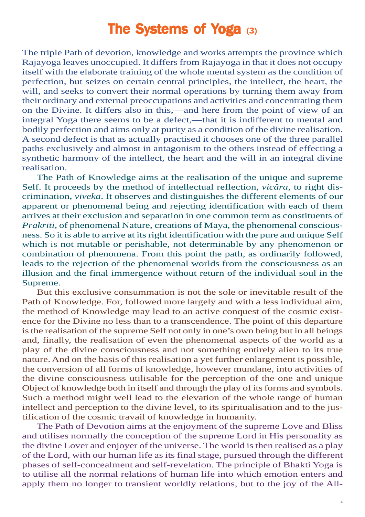# The Systems of Yoga (3)

The triple Path of devotion, knowledge and works attempts the province which Rajayoga leaves unoccupied. It differs from Rajayoga in that it does not occupy itself with the elaborate training of the whole mental system as the condition of perfection, but seizes on certain central principles, the intellect, the heart, the will, and seeks to convert their normal operations by turning them away from their ordinary and external preoccupations and activities and concentrating them on the Divine. It differs also in this,—and here from the point of view of an integral Yoga there seems to be a defect,—that it is indifferent to mental and bodily perfection and aims only at purity as a condition of the divine realisation. A second defect is that as actually practised it chooses one of the three parallel paths exclusively and almost in antagonism to the others instead of effecting a synthetic harmony of the intellect, the heart and the will in an integral divine realisation.

The Path of Knowledge aims at the realisation of the unique and supreme Self. It proceeds by the method of intellectual reflection, *vicâra*, to right discrimination, *viveka*. It observes and distinguishes the different elements of our apparent or phenomenal being and rejecting identification with each of them arrives at their exclusion and separation in one common term as constituents of *Prakriti*, of phenomenal Nature, creations of Maya, the phenomenal consciousness. So it is able to arrive at its right identification with the pure and unique Self which is not mutable or perishable, not determinable by any phenomenon or combination of phenomena. From this point the path, as ordinarily followed, leads to the rejection of the phenomenal worlds from the consciousness as an illusion and the final immergence without return of the individual soul in the Supreme.

But this exclusive consummation is not the sole or inevitable result of the Path of Knowledge. For, followed more largely and with a less individual aim, the method of Knowledge may lead to an active conquest of the cosmic existence for the Divine no less than to a transcendence. The point of this departure is the realisation of the supreme Self not only in one's own being but in all beings and, finally, the realisation of even the phenomenal aspects of the world as a play of the divine consciousness and not something entirely alien to its true nature. And on the basis of this realisation a yet further enlargement is possible, the conversion of all forms of knowledge, however mundane, into activities of the divine consciousness utilisable for the perception of the one and unique Object of knowledge both in itself and through the play of its forms and symbols. Such a method might well lead to the elevation of the whole range of human intellect and perception to the divine level, to its spiritualisation and to the justification of the cosmic travail of knowledge in humanity.

The Path of Devotion aims at the enjoyment of the supreme Love and Bliss and utilises normally the conception of the supreme Lord in His personality as the divine Lover and enjoyer of the universe. The world is then realised as a play of the Lord, with our human life as its final stage, pursued through the different phases of self-concealment and self-revelation. The principle of Bhakti Yoga is to utilise all the normal relations of human life into which emotion enters and apply them no longer to transient worldly relations, but to the joy of the All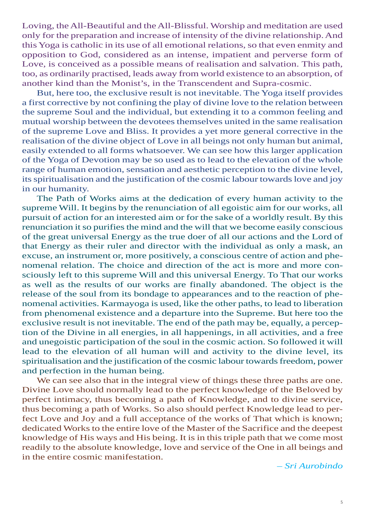Loving, the All-Beautiful and the All-Blissful. Worship and meditation are used only for the preparation and increase of intensity of the divine relationship. And this Yoga is catholic in its use of all emotional relations, so that even enmity and opposition to God, considered as an intense, impatient and perverse form of Love, is conceived as a possible means of realisation and salvation. This path, too, as ordinarily practised, leads away from world existence to an absorption, of another kind than the Monist's, in the Transcendent and Supra-cosmic.

But, here too, the exclusive result is not inevitable. The Yoga itself provides a first corrective by not confining the play of divine love to the relation between the supreme Soul and the individual, but extending it to a common feeling and mutual worship between the devotees themselves united in the same realisation of the supreme Love and Bliss. It provides a yet more general corrective in the realisation of the divine object of Love in all beings not only human but animal, easily extended to all forms whatsoever. We can see how this larger application of the Yoga of Devotion may be so used as to lead to the elevation of the whole range of human emotion, sensation and aesthetic perception to the divine level, its spiritualisation and the justification of the cosmic labour towards love and joy in our humanity.

The Path of Works aims at the dedication of every human activity to the supreme Will. It begins by the renunciation of all egoistic aim for our works, all pursuit of action for an interested aim or for the sake of a worldly result. By this renunciation it so purifies the mind and the will that we become easily conscious of the great universal Energy as the true doer of all our actions and the Lord of that Energy as their ruler and director with the individual as only a mask, an excuse, an instrument or, more positively, a conscious centre of action and phenomenal relation. The choice and direction of the act is more and more consciously left to this supreme Will and this universal Energy. To That our works as well as the results of our works are finally abandoned. The object is the release of the soul from its bondage to appearances and to the reaction of phenomenal activities. Karmayoga is used, like the other paths, to lead to liberation from phenomenal existence and a departure into the Supreme. But here too the exclusive result is not inevitable. The end of the path may be, equally, a perception of the Divine in all energies, in all happenings, in all activities, and a free and unegoistic participation of the soul in the cosmic action. So followed it will lead to the elevation of all human will and activity to the divine level, its spiritualisation and the justification of the cosmic labour towards freedom, power and perfection in the human being.

We can see also that in the integral view of things these three paths are one. Divine Love should normally lead to the perfect knowledge of the Beloved by perfect intimacy, thus becoming a path of Knowledge, and to divine service, thus becoming a path of Works. So also should perfect Knowledge lead to perfect Love and Joy and a full acceptance of the works of That which is known; dedicated Works to the entire love of the Master of the Sacrifice and the deepest knowledge of His ways and His being. It is in this triple path that we come most readily to the absolute knowledge, love and service of the One in all beings and in the entire cosmic manifestation.

– *Sri Aurobindo*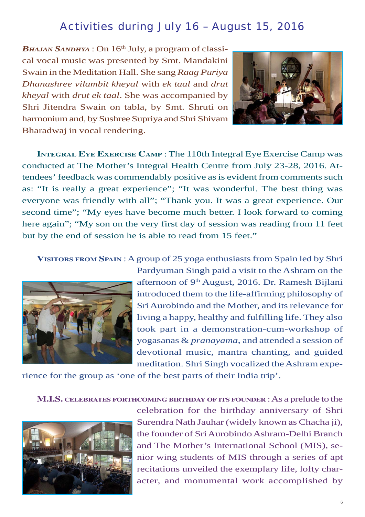## Activities during July 16 – August 15, 2016

*BHAJAN SANDHYA* : On 16<sup>th</sup> July, a program of classical vocal music was presented by Smt. Mandakini Swain in the Meditation Hall. She sang *Raag Puriya Dhanashree vilambit kheyal* with *ek taal* and *drut kheyal* with *drut ek taal*. She was accompanied by Shri Jitendra Swain on tabla, by Smt. Shruti on harmonium and, by Sushree Supriya and Shri Shivam Bharadwaj in vocal rendering.



**INTEGRAL EYE EXERCISE CAMP** : The 110th Integral Eye Exercise Camp was conducted at The Mother's Integral Health Centre from July 23-28, 2016. Attendees' feedback was commendably positive as is evident from comments such as: "It is really a great experience"; "It was wonderful. The best thing was everyone was friendly with all"; "Thank you. It was a great experience. Our second time"; "My eyes have become much better. I look forward to coming here again"; "My son on the very first day of session was reading from 11 feet but by the end of session he is able to read from 15 feet."

#### **VISITORS FROM SPAIN** : A group of 25 yoga enthusiasts from Spain led by Shri



Pardyuman Singh paid a visit to the Ashram on the afternoon of 9th August, 2016. Dr. Ramesh Bijlani introduced them to the life-affirming philosophy of Sri Aurobindo and the Mother, and its relevance for living a happy, healthy and fulfilling life. They also took part in a demonstration-cum-workshop of yogasanas & *pranayama*, and attended a session of devotional music, mantra chanting, and guided meditation. Shri Singh vocalized the Ashram expe-

rience for the group as 'one of the best parts of their India trip'.

#### **M.I.S. CELEBRATES FORTHCOMING BIRTHDAY OF ITS FOUNDER** : As a prelude to the



celebration for the birthday anniversary of Shri Surendra Nath Jauhar (widely known as Chacha ji), the founder of Sri Aurobindo Ashram-Delhi Branch and The Mother's International School (MIS), senior wing students of MIS through a series of apt recitations unveiled the exemplary life, lofty character, and monumental work accomplished by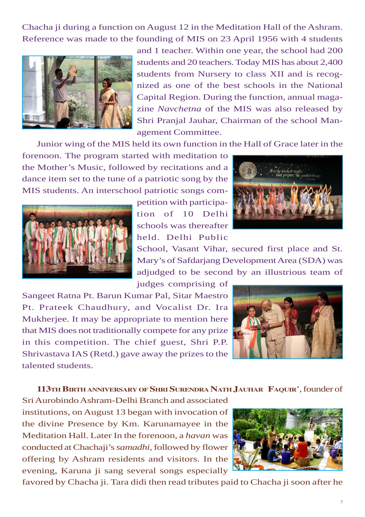Chacha ji during a function on August 12 in the Meditation Hall of the Ashram. Reference was made to the founding of MIS on 23 April 1956 with 4 students



and 1 teacher. Within one year, the school had 200 students and 20 teachers. Today MIS has about 2,400 students from Nursery to class XII and is recognized as one of the best schools in the National Capital Region. During the function, annual magazine *Navchetna* of the MIS was also released by Shri Pranjal Jauhar, Chairman of the school Management Committee.

Junior wing of the MIS held its own function in the Hall of Grace later in the

forenoon. The program started with meditation to the Mother's Music, followed by recitations and a dance item set to the tune of a patriotic song by the MIS students. An interschool patriotic songs com-



petition with participation of 10 Delhi schools was thereafter held. Delhi Public



School, Vasant Vihar, secured first place and St. Mary's of Safdarjang Development Area (SDA) was adjudged to be second by an illustrious team of

judges comprising of

Sangeet Ratna Pt. Barun Kumar Pal, Sitar Maestro Pt. Prateek Chaudhury, and Vocalist Dr. Ira Mukherjee. It may be appropriate to mention here that MIS does not traditionally compete for any prize in this competition. The chief guest, Shri P.P. Shrivastava IAS (Retd.) gave away the prizes to the talented students.



**113TH BIRTH ANNIVERSARY OF SHRI SURENDRA NATH JAUHAR 'FAQUIR**', founder of

Sri Aurobindo Ashram-Delhi Branch and associated institutions, on August 13 began with invocation of the divine Presence by Km. Karunamayee in the Meditation Hall. Later In the forenoon, a *havan* was conducted at Chachaji's *samadhi*, followed by flower offering by Ashram residents and visitors. In the evening, Karuna ji sang several songs especially



favored by Chacha ji. Tara didi then read tributes paid to Chacha ji soon after he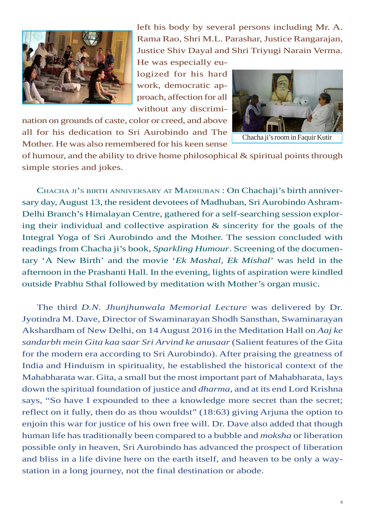

left his body by several persons including Mr. A. Rama Rao, Shri M.L. Parashar, Justice Rangarajan, Justice Shiv Dayal and Shri Triyugi Narain Verma.

He was especially eulogized for his hard work, democratic approach, affection for all without any discrimi-

nation on grounds of caste, color or creed, and above all for his dedication to Sri Aurobindo and The Mother. He was also remembered for his keen sense



Chacha ji's room in Faquir Kutir

of humour, and the ability to drive home philosophical & spiritual points through simple stories and jokes.

CHACHA JI'S BIRTH ANNIVERSARY AT MADHUBAN : On Chachaji's birth anniversary day, August 13, the resident devotees of Madhuban, Sri Aurobindo Ashram-Delhi Branch's Himalayan Centre, gathered for a self-searching session exploring their individual and collective aspiration & sincerity for the goals of the Integral Yoga of Sri Aurobindo and the Mother. The session concluded with readings from Chacha ji's book, *Sparkling Humour*. Screening of the documentary 'A New Birth' and the movie '*Ek Mashal, Ek Mishal*' was held in the afternoon in the Prashanti Hall. In the evening, lights of aspiration were kindled outside Prabhu Sthal followed by meditation with Mother's organ music.

The third *D.N. Jhunjhunwala Memorial Lecture* was delivered by Dr. Jyotindra M. Dave, Director of Swaminarayan Shodh Sansthan, Swaminarayan Akshardham of New Delhi, on 14 August 2016 in the Meditation Hall on *Aaj ke sandarbh mein Gita kaa saar Sri Arvind ke anusaar* (Salient features of the Gita for the modern era according to Sri Aurobindo). After praising the greatness of India and Hinduism in spirituality, he established the historical context of the Mahabharata war. Gita, a small but the most important part of Mahabharata, lays down the spiritual foundation of justice and *dharma*, and at its end Lord Krishna says, "So have I expounded to thee a knowledge more secret than the secret; reflect on it fully, then do as thou wouldst" (18:63) giving Arjuna the option to enjoin this war for justice of his own free will. Dr. Dave also added that though human life has traditionally been compared to a bubble and *moksha* or liberation possible only in heaven, Sri Aurobindo has advanced the prospect of liberation and bliss in a life divine here on the earth itself, and heaven to be only a waystation in a long journey, not the final destination or abode.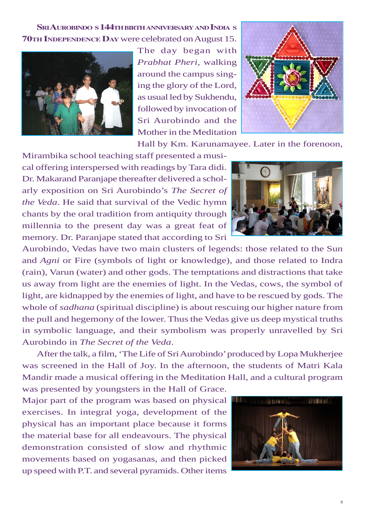**SRIAUROBINDO S 144TH BIRTH ANNIVERSARY AND INDIA S 70TH INDEPENDENCE DAY** were celebrated on August 15.



The day began with *Prabhat Pheri*, walking around the campus singing the glory of the Lord, as usual led by Sukhendu, followed by invocation of Sri Aurobindo and the Mother in the Meditation



Hall by Km. Karunamayee. Later in the forenoon,

Mirambika school teaching staff presented a musical offering interspersed with readings by Tara didi. Dr. Makarand Paranjape thereafter delivered a scholarly exposition on Sri Aurobindo's *The Secret of the Veda*. He said that survival of the Vedic hymn chants by the oral tradition from antiquity through millennia to the present day was a great feat of memory. Dr. Paranjape stated that according to Sri

Aurobindo, Vedas have two main clusters of legends: those related to the Sun and *Agni* or Fire (symbols of light or knowledge), and those related to Indra (rain), Varun (water) and other gods. The temptations and distractions that take us away from light are the enemies of light. In the Vedas, cows, the symbol of light, are kidnapped by the enemies of light, and have to be rescued by gods. The whole of *sadhana* (spiritual discipline) is about rescuing our higher nature from the pull and hegemony of the lower. Thus the Vedas give us deep mystical truths in symbolic language, and their symbolism was properly unravelled by Sri Aurobindo in *The Secret of the Veda*.

After the talk, a film, 'The Life of Sri Aurobindo' produced by Lopa Mukherjee was screened in the Hall of Joy. In the afternoon, the students of Matri Kala Mandir made a musical offering in the Meditation Hall, and a cultural program

was presented by youngsters in the Hall of Grace. Major part of the program was based on physical exercises. In integral yoga, development of the physical has an important place because it forms the material base for all endeavours. The physical demonstration consisted of slow and rhythmic movements based on yogasanas, and then picked up speed with P.T. and several pyramids. Other items



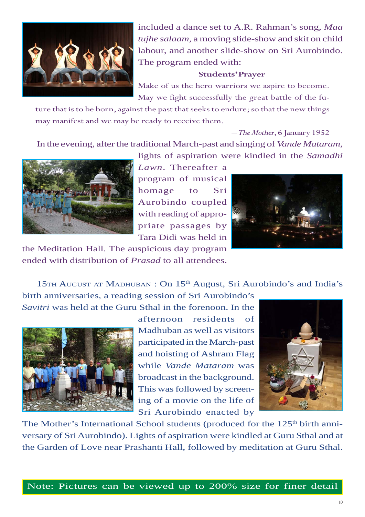

included a dance set to A.R. Rahman's song, *Maa tujhe salaam*, a moving slide-show and skit on child labour, and another slide-show on Sri Aurobindo. The program ended with:

#### **Students' Prayer**

Make of us the hero warriors we aspire to become. May we fight successfully the great battle of the fu-

ture that is to be born, against the past that seeks to endure; so that the new things may manifest and we may be ready to receive them.

– *The Mother*, 6 January 1952

In the evening, after the traditional March-past and singing of *Vande Mataram*,



*Lawn*. Thereafter a program of musical homage to Sri Aurobindo coupled with reading of appropriate passages by Tara Didi was held in



the Meditation Hall. The auspicious day program ended with distribution of *Prasad* to all attendees.

### 15TH AUGUST AT MADHUBAN: On 15<sup>th</sup> August, Sri Aurobindo's and India's

birth anniversaries, a reading session of Sri Aurobindo's *Savitri* was held at the Guru Sthal in the forenoon. In the



afternoon residents of Madhuban as well as visitors participated in the March-past and hoisting of Ashram Flag while *Vande Mataram* was broadcast in the background. This was followed by screening of a movie on the life of Sri Aurobindo enacted by



The Mother's International School students (produced for the 125<sup>th</sup> birth anniversary of Sri Aurobindo). Lights of aspiration were kindled at Guru Sthal and at the Garden of Love near Prashanti Hall, followed by meditation at Guru Sthal.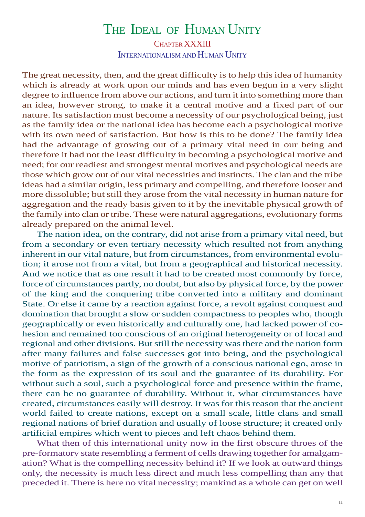## THE IDEAL OF HUMAN UNITY

CHAPTER XXXIII INTERNATIONALISM AND HUMAN UNITY

The great necessity, then, and the great difficulty is to help this idea of humanity which is already at work upon our minds and has even begun in a very slight degree to influence from above our actions, and turn it into something more than an idea, however strong, to make it a central motive and a fixed part of our nature. Its satisfaction must become a necessity of our psychological being, just as the family idea or the national idea has become each a psychological motive with its own need of satisfaction. But how is this to be done? The family idea had the advantage of growing out of a primary vital need in our being and therefore it had not the least difficulty in becoming a psychological motive and need; for our readiest and strongest mental motives and psychological needs are those which grow out of our vital necessities and instincts. The clan and the tribe ideas had a similar origin, less primary and compelling, and therefore looser and more dissoluble; but still they arose from the vital necessity in human nature for aggregation and the ready basis given to it by the inevitable physical growth of the family into clan or tribe. These were natural aggregations, evolutionary forms already prepared on the animal level.

The nation idea, on the contrary, did not arise from a primary vital need, but from a secondary or even tertiary necessity which resulted not from anything inherent in our vital nature, but from circumstances, from environmental evolution; it arose not from a vital, but from a geographical and historical necessity. And we notice that as one result it had to be created most commonly by force, force of circumstances partly, no doubt, but also by physical force, by the power of the king and the conquering tribe converted into a military and dominant State. Or else it came by a reaction against force, a revolt against conquest and domination that brought a slow or sudden compactness to peoples who, though geographically or even historically and culturally one, had lacked power of cohesion and remained too conscious of an original heterogeneity or of local and regional and other divisions. But still the necessity was there and the nation form after many failures and false successes got into being, and the psychological motive of patriotism, a sign of the growth of a conscious national ego, arose in the form as the expression of its soul and the guarantee of its durability. For without such a soul, such a psychological force and presence within the frame, there can be no guarantee of durability. Without it, what circumstances have created, circumstances easily will destroy. It was for this reason that the ancient world failed to create nations, except on a small scale, little clans and small regional nations of brief duration and usually of loose structure; it created only artificial empires which went to pieces and left chaos behind them.

What then of this international unity now in the first obscure throes of the pre-formatory state resembling a ferment of cells drawing together for amalgamation? What is the compelling necessity behind it? If we look at outward things only, the necessity is much less direct and much less compelling than any that preceded it. There is here no vital necessity; mankind as a whole can get on well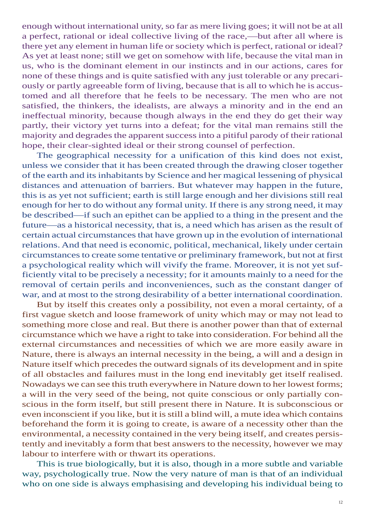enough without international unity, so far as mere living goes; it will not be at all a perfect, rational or ideal collective living of the race,—but after all where is there yet any element in human life or society which is perfect, rational or ideal? As yet at least none; still we get on somehow with life, because the vital man in us, who is the dominant element in our instincts and in our actions, cares for none of these things and is quite satisfied with any just tolerable or any precariously or partly agreeable form of living, because that is all to which he is accustomed and all therefore that he feels to be necessary. The men who are not satisfied, the thinkers, the idealists, are always a minority and in the end an ineffectual minority, because though always in the end they do get their way partly, their victory yet turns into a defeat; for the vital man remains still the majority and degrades the apparent success into a pitiful parody of their rational hope, their clear-sighted ideal or their strong counsel of perfection.

The geographical necessity for a unification of this kind does not exist, unless we consider that it has been created through the drawing closer together of the earth and its inhabitants by Science and her magical lessening of physical distances and attenuation of barriers. But whatever may happen in the future, this is as yet not sufficient; earth is still large enough and her divisions still real enough for her to do without any formal unity. If there is any strong need, it may be described—if such an epithet can be applied to a thing in the present and the future—as a historical necessity, that is, a need which has arisen as the result of certain actual circumstances that have grown up in the evolution of international relations. And that need is economic, political, mechanical, likely under certain circumstances to create some tentative or preliminary framework, but not at first a psychological reality which will vivify the frame. Moreover, it is not yet sufficiently vital to be precisely a necessity; for it amounts mainly to a need for the removal of certain perils and inconveniences, such as the constant danger of war, and at most to the strong desirability of a better international coordination.

But by itself this creates only a possibility, not even a moral certainty, of a first vague sketch and loose framework of unity which may or may not lead to something more close and real. But there is another power than that of external circumstance which we have a right to take into consideration. For behind all the external circumstances and necessities of which we are more easily aware in Nature, there is always an internal necessity in the being, a will and a design in Nature itself which precedes the outward signals of its development and in spite of all obstacles and failures must in the long end inevitably get itself realised. Nowadays we can see this truth everywhere in Nature down to her lowest forms; a will in the very seed of the being, not quite conscious or only partially conscious in the form itself, but still present there in Nature. It is subconscious or even inconscient if you like, but it is still a blind will, a mute idea which contains beforehand the form it is going to create, is aware of a necessity other than the environmental, a necessity contained in the very being itself, and creates persistently and inevitably a form that best answers to the necessity, however we may labour to interfere with or thwart its operations.

This is true biologically, but it is also, though in a more subtle and variable way, psychologically true. Now the very nature of man is that of an individual who on one side is always emphasising and developing his individual being to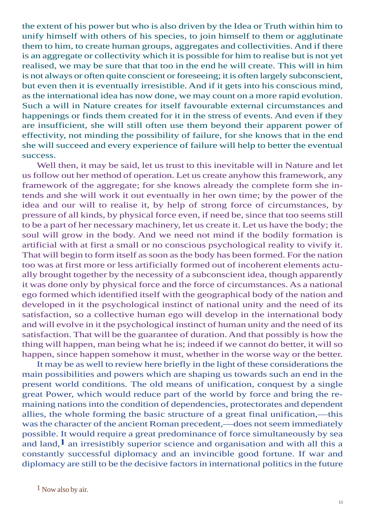the extent of his power but who is also driven by the Idea or Truth within him to unify himself with others of his species, to join himself to them or agglutinate them to him, to create human groups, aggregates and collectivities. And if there is an aggregate or collectivity which it is possible for him to realise but is not yet realised, we may be sure that that too in the end he will create. This will in him is not always or often quite conscient or foreseeing; it is often largely subconscient, but even then it is eventually irresistible. And if it gets into his conscious mind, as the international idea has now done, we may count on a more rapid evolution. Such a will in Nature creates for itself favourable external circumstances and happenings or finds them created for it in the stress of events. And even if they are insufficient, she will still often use them beyond their apparent power of effectivity, not minding the possibility of failure, for she knows that in the end she will succeed and every experience of failure will help to better the eventual success.

Well then, it may be said, let us trust to this inevitable will in Nature and let us follow out her method of operation. Let us create anyhow this framework, any framework of the aggregate; for she knows already the complete form she intends and she will work it out eventually in her own time; by the power of the idea and our will to realise it, by help of strong force of circumstances, by pressure of all kinds, by physical force even, if need be, since that too seems still to be a part of her necessary machinery, let us create it. Let us have the body; the soul will grow in the body. And we need not mind if the bodily formation is artificial with at first a small or no conscious psychological reality to vivify it. That will begin to form itself as soon as the body has been formed. For the nation too was at first more or less artificially formed out of incoherent elements actually brought together by the necessity of a subconscient idea, though apparently it was done only by physical force and the force of circumstances. As a national ego formed which identified itself with the geographical body of the nation and developed in it the psychological instinct of national unity and the need of its satisfaction, so a collective human ego will develop in the international body and will evolve in it the psychological instinct of human unity and the need of its satisfaction. That will be the guarantee of duration. And that possibly is how the thing will happen, man being what he is; indeed if we cannot do better, it will so happen, since happen somehow it must, whether in the worse way or the better.

It may be as well to review here briefly in the light of these considerations the main possibilities and powers which are shaping us towards such an end in the present world conditions. The old means of unification, conquest by a single great Power, which would reduce part of the world by force and bring the remaining nations into the condition of dependencies, protectorates and dependent allies, the whole forming the basic structure of a great final unification,—this was the character of the ancient Roman precedent,—does not seem immediately possible. It would require a great predominance of force simultaneously by sea and land,**1** an irresistibly superior science and organisation and with all this a constantly successful diplomacy and an invincible good fortune. If war and diplomacy are still to be the decisive factors in international politics in the future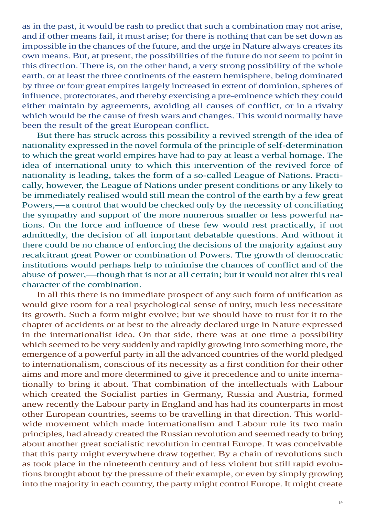as in the past, it would be rash to predict that such a combination may not arise, and if other means fail, it must arise; for there is nothing that can be set down as impossible in the chances of the future, and the urge in Nature always creates its own means. But, at present, the possibilities of the future do not seem to point in this direction. There is, on the other hand, a very strong possibility of the whole earth, or at least the three continents of the eastern hemisphere, being dominated by three or four great empires largely increased in extent of dominion, spheres of influence, protectorates, and thereby exercising a pre-eminence which they could either maintain by agreements, avoiding all causes of conflict, or in a rivalry which would be the cause of fresh wars and changes. This would normally have been the result of the great European conflict.

But there has struck across this possibility a revived strength of the idea of nationality expressed in the novel formula of the principle of self-determination to which the great world empires have had to pay at least a verbal homage. The idea of international unity to which this intervention of the revived force of nationality is leading, takes the form of a so-called League of Nations. Practically, however, the League of Nations under present conditions or any likely to be immediately realised would still mean the control of the earth by a few great Powers,—a control that would be checked only by the necessity of conciliating the sympathy and support of the more numerous smaller or less powerful nations. On the force and influence of these few would rest practically, if not admittedly, the decision of all important debatable questions. And without it there could be no chance of enforcing the decisions of the majority against any recalcitrant great Power or combination of Powers. The growth of democratic institutions would perhaps help to minimise the chances of conflict and of the abuse of power,—though that is not at all certain; but it would not alter this real character of the combination.

In all this there is no immediate prospect of any such form of unification as would give room for a real psychological sense of unity, much less necessitate its growth. Such a form might evolve; but we should have to trust for it to the chapter of accidents or at best to the already declared urge in Nature expressed in the internationalist idea. On that side, there was at one time a possibility which seemed to be very suddenly and rapidly growing into something more, the emergence of a powerful party in all the advanced countries of the world pledged to internationalism, conscious of its necessity as a first condition for their other aims and more and more determined to give it precedence and to unite internationally to bring it about. That combination of the intellectuals with Labour which created the Socialist parties in Germany, Russia and Austria, formed anew recently the Labour party in England and has had its counterparts in most other European countries, seems to be travelling in that direction. This worldwide movement which made internationalism and Labour rule its two main principles, had already created the Russian revolution and seemed ready to bring about another great socialistic revolution in central Europe. It was conceivable that this party might everywhere draw together. By a chain of revolutions such as took place in the nineteenth century and of less violent but still rapid evolutions brought about by the pressure of their example, or even by simply growing into the majority in each country, the party might control Europe. It might create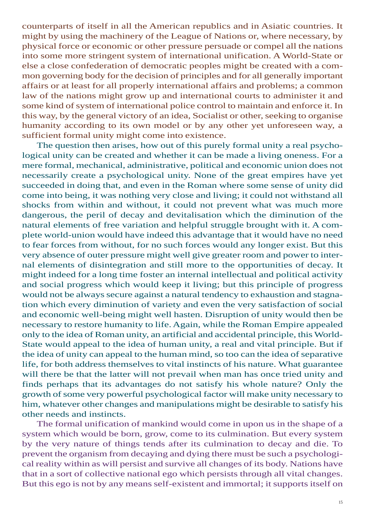counterparts of itself in all the American republics and in Asiatic countries. It might by using the machinery of the League of Nations or, where necessary, by physical force or economic or other pressure persuade or compel all the nations into some more stringent system of international unification. A World-State or else a close confederation of democratic peoples might be created with a common governing body for the decision of principles and for all generally important affairs or at least for all properly international affairs and problems; a common law of the nations might grow up and international courts to administer it and some kind of system of international police control to maintain and enforce it. In this way, by the general victory of an idea, Socialist or other, seeking to organise humanity according to its own model or by any other yet unforeseen way, a sufficient formal unity might come into existence.

The question then arises, how out of this purely formal unity a real psychological unity can be created and whether it can be made a living oneness. For a mere formal, mechanical, administrative, political and economic union does not necessarily create a psychological unity. None of the great empires have yet succeeded in doing that, and even in the Roman where some sense of unity did come into being, it was nothing very close and living; it could not withstand all shocks from within and without, it could not prevent what was much more dangerous, the peril of decay and devitalisation which the diminution of the natural elements of free variation and helpful struggle brought with it. A complete world-union would have indeed this advantage that it would have no need to fear forces from without, for no such forces would any longer exist. But this very absence of outer pressure might well give greater room and power to internal elements of disintegration and still more to the opportunities of decay. It might indeed for a long time foster an internal intellectual and political activity and social progress which would keep it living; but this principle of progress would not be always secure against a natural tendency to exhaustion and stagnation which every diminution of variety and even the very satisfaction of social and economic well-being might well hasten. Disruption of unity would then be necessary to restore humanity to life. Again, while the Roman Empire appealed only to the idea of Roman unity, an artificial and accidental principle, this World-State would appeal to the idea of human unity, a real and vital principle. But if the idea of unity can appeal to the human mind, so too can the idea of separative life, for both address themselves to vital instincts of his nature. What guarantee will there be that the latter will not prevail when man has once tried unity and finds perhaps that its advantages do not satisfy his whole nature? Only the growth of some very powerful psychological factor will make unity necessary to him, whatever other changes and manipulations might be desirable to satisfy his other needs and instincts.

The formal unification of mankind would come in upon us in the shape of a system which would be born, grow, come to its culmination. But every system by the very nature of things tends after its culmination to decay and die. To prevent the organism from decaying and dying there must be such a psychological reality within as will persist and survive all changes of its body. Nations have that in a sort of collective national ego which persists through all vital changes. But this ego is not by any means self-existent and immortal; it supports itself on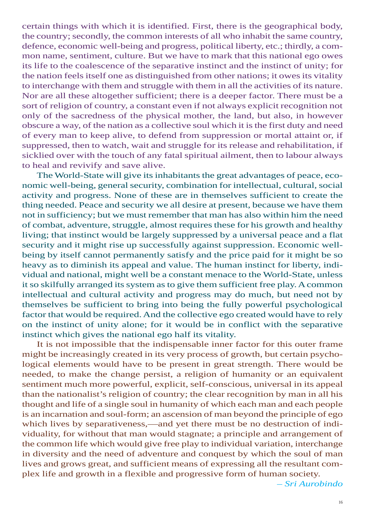certain things with which it is identified. First, there is the geographical body, the country; secondly, the common interests of all who inhabit the same country, defence, economic well-being and progress, political liberty, etc.; thirdly, a common name, sentiment, culture. But we have to mark that this national ego owes its life to the coalescence of the separative instinct and the instinct of unity; for the nation feels itself one as distinguished from other nations; it owes its vitality to interchange with them and struggle with them in all the activities of its nature. Nor are all these altogether sufficient; there is a deeper factor. There must be a sort of religion of country, a constant even if not always explicit recognition not only of the sacredness of the physical mother, the land, but also, in however obscure a way, of the nation as a collective soul which it is the first duty and need of every man to keep alive, to defend from suppression or mortal attaint or, if suppressed, then to watch, wait and struggle for its release and rehabilitation, if sicklied over with the touch of any fatal spiritual ailment, then to labour always to heal and revivify and save alive.

The World-State will give its inhabitants the great advantages of peace, economic well-being, general security, combination for intellectual, cultural, social activity and progress. None of these are in themselves sufficient to create the thing needed. Peace and security we all desire at present, because we have them not in sufficiency; but we must remember that man has also within him the need of combat, adventure, struggle, almost requires these for his growth and healthy living; that instinct would be largely suppressed by a universal peace and a flat security and it might rise up successfully against suppression. Economic wellbeing by itself cannot permanently satisfy and the price paid for it might be so heavy as to diminish its appeal and value. The human instinct for liberty, individual and national, might well be a constant menace to the World-State, unless it so skilfully arranged its system as to give them sufficient free play. A common intellectual and cultural activity and progress may do much, but need not by themselves be sufficient to bring into being the fully powerful psychological factor that would be required. And the collective ego created would have to rely on the instinct of unity alone; for it would be in conflict with the separative instinct which gives the national ego half its vitality.

It is not impossible that the indispensable inner factor for this outer frame might be increasingly created in its very process of growth, but certain psychological elements would have to be present in great strength. There would be needed, to make the change persist, a religion of humanity or an equivalent sentiment much more powerful, explicit, self-conscious, universal in its appeal than the nationalist's religion of country; the clear recognition by man in all his thought and life of a single soul in humanity of which each man and each people is an incarnation and soul-form; an ascension of man beyond the principle of ego which lives by separativeness,—and yet there must be no destruction of individuality, for without that man would stagnate; a principle and arrangement of the common life which would give free play to individual variation, interchange in diversity and the need of adventure and conquest by which the soul of man lives and grows great, and sufficient means of expressing all the resultant complex life and growth in a flexible and progressive form of human society.

– *Sri Aurobindo*